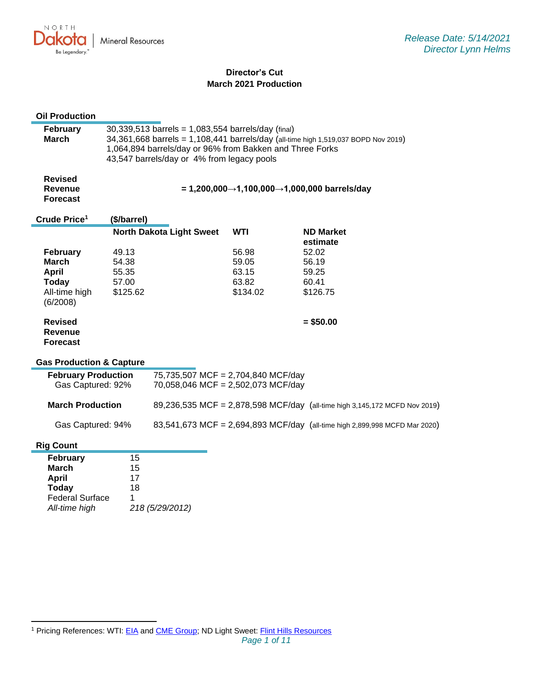NORTH Dakota **Mineral Resources** Be Legendary.

# **Director's Cut March 2021 Production**

| <b>Oil Production</b>                                                                                      |                                                                                                                                                                                                                                                    |                                                                          |                                              |  |                                                                            |
|------------------------------------------------------------------------------------------------------------|----------------------------------------------------------------------------------------------------------------------------------------------------------------------------------------------------------------------------------------------------|--------------------------------------------------------------------------|----------------------------------------------|--|----------------------------------------------------------------------------|
| February<br><b>March</b>                                                                                   | 30,339,513 barrels = 1,083,554 barrels/day (final)<br>34,361,668 barrels = 1,108,441 barrels/day (all-time high 1,519,037 BOPD Nov 2019)<br>1,064,894 barrels/day or 96% from Bakken and Three Forks<br>43,547 barrels/day or 4% from legacy pools |                                                                          |                                              |  |                                                                            |
| <b>Revised</b><br><b>Revenue</b><br><b>Forecast</b>                                                        | = 1,200,000→1,100,000→1,000,000 barrels/day                                                                                                                                                                                                        |                                                                          |                                              |  |                                                                            |
| Crude Price <sup>1</sup>                                                                                   | (\$/barrel)                                                                                                                                                                                                                                        |                                                                          |                                              |  |                                                                            |
|                                                                                                            |                                                                                                                                                                                                                                                    | <b>North Dakota Light Sweet</b>                                          | WTI                                          |  | <b>ND Market</b>                                                           |
| February<br><b>March</b><br>April<br><b>Today</b><br>All-time high<br>(6/2008)                             | 49.13<br>54.38<br>55.35<br>57.00<br>\$125.62                                                                                                                                                                                                       |                                                                          | 56.98<br>59.05<br>63.15<br>63.82<br>\$134.02 |  | estimate<br>52.02<br>56.19<br>59.25<br>60.41<br>\$126.75                   |
| <b>Revised</b><br><b>Revenue</b><br><b>Forecast</b>                                                        |                                                                                                                                                                                                                                                    |                                                                          |                                              |  | $= $50.00$                                                                 |
| <b>Gas Production &amp; Capture</b>                                                                        |                                                                                                                                                                                                                                                    |                                                                          |                                              |  |                                                                            |
| <b>February Production</b><br>Gas Captured: 92%                                                            |                                                                                                                                                                                                                                                    | 75,735,507 MCF = 2,704,840 MCF/day<br>70,058,046 MCF = 2,502,073 MCF/day |                                              |  |                                                                            |
| <b>March Production</b>                                                                                    |                                                                                                                                                                                                                                                    |                                                                          |                                              |  | 89,236,535 MCF = 2,878,598 MCF/day (all-time high 3,145,172 MCFD Nov 2019) |
| Gas Captured: 94%                                                                                          |                                                                                                                                                                                                                                                    |                                                                          |                                              |  | 83,541,673 MCF = 2,694,893 MCF/day (all-time high 2,899,998 MCFD Mar 2020) |
| <b>Rig Count</b>                                                                                           |                                                                                                                                                                                                                                                    |                                                                          |                                              |  |                                                                            |
| <b>February</b><br><b>March</b><br><b>April</b><br><b>Today</b><br><b>Federal Surface</b><br>All-time high | 15<br>15<br>17<br>18<br>1                                                                                                                                                                                                                          | 218 (5/29/2012)                                                          |                                              |  |                                                                            |

<sup>&</sup>lt;sup>1</sup> Pricing References: WTI: [EIA](https://www.eia.gov/dnav/pet/hist/LeafHandler.ashx?n=PET&s=RCLC1&f=M) and [CME Group;](https://www.cmegroup.com/trading/energy/crude-oil/light-sweet-crude.html) ND Light Sweet: [Flint Hills Resources](https://www.fhr.com/products-services/fuels-and-aromatics)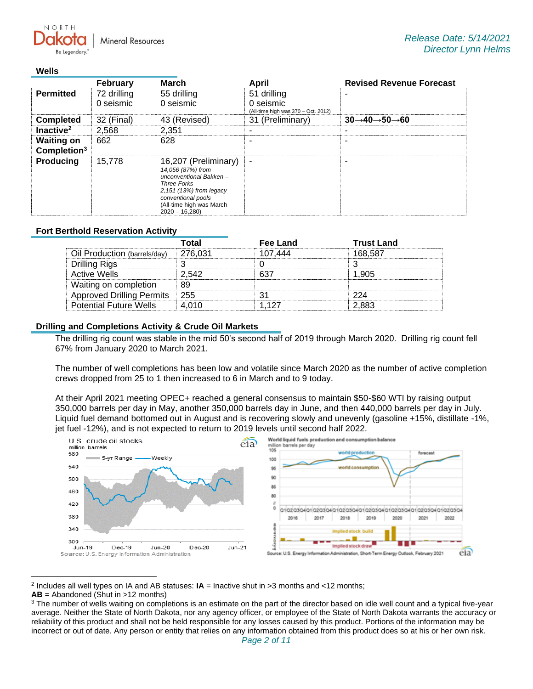**Mineral Resources** 

#### **Wells**

NORTH

|                                              | <b>February</b>          | <b>March</b>                                                                                                                                                                              | April                                                           | <b>Revised Revenue Forecast</b>                   |
|----------------------------------------------|--------------------------|-------------------------------------------------------------------------------------------------------------------------------------------------------------------------------------------|-----------------------------------------------------------------|---------------------------------------------------|
| <b>Permitted</b>                             | 72 drilling<br>0 seismic | 55 drilling<br>0 seismic                                                                                                                                                                  | 51 drilling<br>0 seismic<br>(All-time high was 370 - Oct. 2012) |                                                   |
| <b>Completed</b>                             | 32 (Final)               | 43 (Revised)                                                                                                                                                                              | 31 (Preliminary)                                                | $30 \rightarrow 40 \rightarrow 50 \rightarrow 60$ |
| Inactive <sup>2</sup>                        | 2,568                    | 2.351                                                                                                                                                                                     | -                                                               |                                                   |
| <b>Waiting on</b><br>Completion <sup>3</sup> | 662                      | 628                                                                                                                                                                                       |                                                                 |                                                   |
| <b>Producing</b>                             | 15,778                   | 16,207 (Preliminary)<br>14.056 (87%) from<br>unconventional Bakken-<br><b>Three Forks</b><br>2,151 (13%) from legacy<br>conventional pools<br>(All-time high was March<br>$2020 - 16.280$ | ۰                                                               |                                                   |

#### **Fort Berthold Reservation Activity**

|                                  | ⊺otal   | Fee Land | <b>Trust Land</b> |
|----------------------------------|---------|----------|-------------------|
| Oil Production (barrels/day)     | 276.031 | 107.444  | 168.587           |
| Drilling Rigs                    |         |          |                   |
| Active Wells                     | 2.542   |          | 1.905             |
| Waiting on completion            |         |          |                   |
| <b>Approved Drilling Permits</b> | $+255$  |          | つつハ               |
| <b>Potential Future Wells</b>    | 010     | 127      | 2.883             |

### **Drilling and Completions Activity & Crude Oil Markets**

The drilling rig count was stable in the mid 50's second half of 2019 through March 2020. Drilling rig count fell 67% from January 2020 to March 2021.

The number of well completions has been low and volatile since March 2020 as the number of active completion crews dropped from 25 to 1 then increased to 6 in March and to 9 today.

At their April 2021 meeting OPEC+ reached a general consensus to maintain \$50-\$60 WTI by raising output 350,000 barrels per day in May, another 350,000 barrels day in June, and then 440,000 barrels per day in July. Liquid fuel demand bottomed out in August and is recovering slowly and unevenly (gasoline +15%, distillate -1%, jet fuel -12%), and is not expected to return to 2019 levels until second half 2022.



2 Includes all well types on IA and AB statuses: **IA** = Inactive shut in >3 months and <12 months;

**AB** = Abandoned (Shut in >12 months)

<sup>&</sup>lt;sup>3</sup> The number of wells waiting on completions is an estimate on the part of the director based on idle well count and a typical five-year average. Neither the State of North Dakota, nor any agency officer, or employee of the State of North Dakota warrants the accuracy or reliability of this product and shall not be held responsible for any losses caused by this product. Portions of the information may be incorrect or out of date. Any person or entity that relies on any information obtained from this product does so at his or her own risk.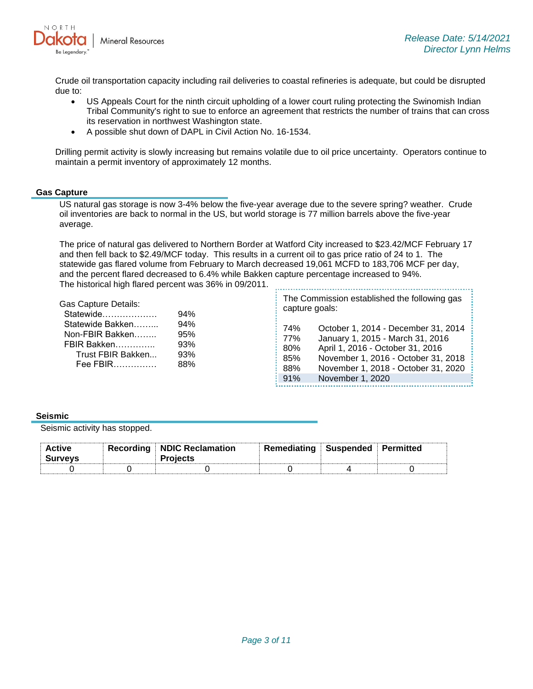

Crude oil transportation capacity including rail deliveries to coastal refineries is adequate, but could be disrupted due to:

- US Appeals Court for the ninth circuit upholding of a lower court ruling protecting the Swinomish Indian Tribal Community's right to sue to enforce an agreement that restricts the number of trains that can cross its reservation in northwest Washington state.
- A possible shut down of DAPL in Civil Action No. 16-1534.

94% 94% 95% 93%

Drilling permit activity is slowly increasing but remains volatile due to oil price uncertainty. Operators continue to maintain a permit inventory of approximately 12 months.

#### **Gas Capture**

US natural gas storage is now 3-4% below the five-year average due to the severe spring? weather. Crude oil inventories are back to normal in the US, but world storage is 77 million barrels above the five-year average.

The price of natural gas delivered to Northern Border at Watford City increased to \$23.42/MCF February 17 and then fell back to \$2.49/MCF today. This results in a current oil to gas price ratio of 24 to 1. The statewide gas flared volume from February to March decreased 19,061 MCFD to 183,706 MCF per day, and the percent flared decreased to 6.4% while Bakken capture percentage increased to 94%. The historical high flared percent was 36% in 09/2011. 

| <b>Gas Capture Details:</b> |
|-----------------------------|
| Statewide                   |
| Statewide Bakken            |
| Non-FBIR Bakken             |
| FBIR Bakken                 |

 Trust FBIR Bakken... 93% Fee FBIR…………… 88% The Commission established the following gas capture goals:

74% October 1, 2014 - December 31, 2014 77% January 1, 2015 - March 31, 2016 80% April 1, 2016 - October 31, 2016 85% November 1, 2016 - October 31, 2018 88% November 1, 2018 - October 31, 2020 91% November 1, 2020

#### **Seismic**

Seismic activity has stopped.

| <b>Active</b><br><b>Surveys</b> | <b>Recording NDIC Reclamation</b><br>Proiects | <b>Remediating</b> | ⊟Suspended ∃ Permitted |  |
|---------------------------------|-----------------------------------------------|--------------------|------------------------|--|
|                                 |                                               |                    |                        |  |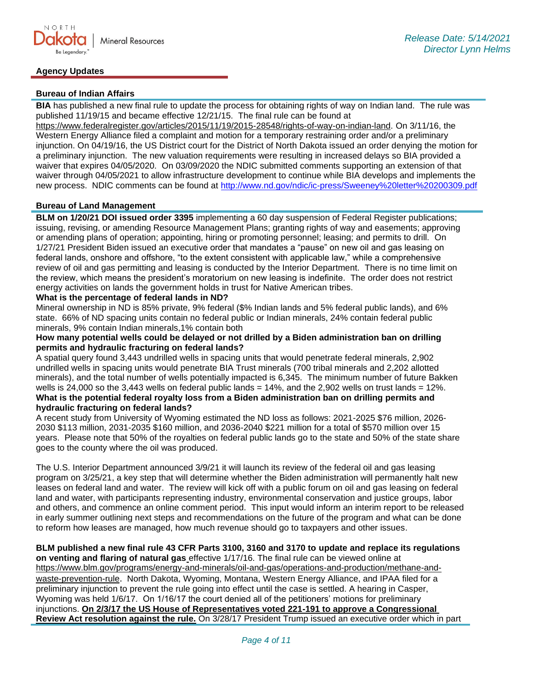## **Agency Updates**

### **Bureau of Indian Affairs**

**BIA** has published a new final rule to update the process for obtaining rights of way on Indian land. The rule was published 11/19/15 and became effective 12/21/15. The final rule can be found at

[https://www.federalregister.gov/articles/2015/11/19/2015-28548/rights-of-way-on-indian-land.](https://gcc02.safelinks.protection.outlook.com/?url=https%3A%2F%2Fwww.federalregister.gov%2Farticles%2F2015%2F11%2F19%2F2015-28548%2Frights-of-way-on-indian-land&data=04%7C01%7Ckahaarsager%40nd.gov%7C6928b6351bcb4a1a121b08d8b9647a47%7C2dea0464da514a88bae2b3db94bc0c54%7C0%7C0%7C637463188508268796%7CUnknown%7CTWFpbGZsb3d8eyJWIjoiMC4wLjAwMDAiLCJQIjoiV2luMzIiLCJBTiI6Ik1haWwiLCJXVCI6Mn0%3D%7C1000&sdata=a5l0ZWxiv927whetB9b%2F6DI4m6QOmSlIFot7WWc%2FKto%3D&reserved=0) On 3/11/16, the Western Energy Alliance filed a complaint and motion for a temporary restraining order and/or a preliminary injunction. On 04/19/16, the US District court for the District of North Dakota issued an order denying the motion for a preliminary injunction. The new valuation requirements were resulting in increased delays so BIA provided a waiver that expires 04/05/2020. On 03/09/2020 the NDIC submitted comments supporting an extension of that waiver through 04/05/2021 to allow infrastructure development to continue while BIA develops and implements the new process. NDIC comments can be found at<http://www.nd.gov/ndic/ic-press/Sweeney%20letter%20200309.pdf>

#### **Bureau of Land Management**

**BLM on 1/20/21 DOI issued order 3395** implementing a 60 day suspension of Federal Register publications; issuing, revising, or amending Resource Management Plans; granting rights of way and easements; approving or amending plans of operation; appointing, hiring or promoting personnel; leasing; and permits to drill. On 1/27/21 President Biden issued an executive order that mandates a "pause" on new oil and gas leasing on federal lands, onshore and offshore, "to the extent consistent with applicable law," while a comprehensive review of oil and gas permitting and leasing is conducted by the Interior Department. There is no time limit on the review, which means the president's moratorium on new leasing is indefinite. The order does not restrict energy activities on lands the government holds in trust for Native American tribes.

### **What is the percentage of federal lands in ND?**

Mineral ownership in ND is 85% private, 9% federal (\$% Indian lands and 5% federal public lands), and 6% state. 66% of ND spacing units contain no federal public or Indian minerals, 24% contain federal public minerals, 9% contain Indian minerals,1% contain both

#### **How many potential wells could be delayed or not drilled by a Biden administration ban on drilling permits and hydraulic fracturing on federal lands?**

A spatial query found 3,443 undrilled wells in spacing units that would penetrate federal minerals, 2,902 undrilled wells in spacing units would penetrate BIA Trust minerals (700 tribal minerals and 2,202 allotted minerals), and the total number of wells potentially impacted is 6,345. The minimum number of future Bakken wells is 24,000 so the 3,443 wells on federal public lands = 14%, and the 2,902 wells on trust lands = 12%. **What is the potential federal royalty loss from a Biden administration ban on drilling permits and hydraulic fracturing on federal lands?**

A recent study from University of Wyoming estimated the ND loss as follows: 2021-2025 \$76 million, 2026- 2030 \$113 million, 2031-2035 \$160 million, and 2036-2040 \$221 million for a total of \$570 million over 15 years. Please note that 50% of the royalties on federal public lands go to the state and 50% of the state share goes to the county where the oil was produced.

The U.S. Interior Department announced 3/9/21 it will launch its review of the federal oil and gas leasing program on 3/25/21, a key step that will determine whether the Biden administration will permanently halt new leases on federal land and water. The review will kick off with a public forum on oil and gas leasing on federal land and water, with participants representing industry, environmental conservation and justice groups, labor and others, and commence an online comment period. This input would inform an interim report to be released in early summer outlining next steps and recommendations on the future of the program and what can be done to reform how leases are managed, how much revenue should go to taxpayers and other issues.

**BLM published a new final rule 43 CFR Parts 3100, 3160 and 3170 to update and replace its regulations on venting and flaring of natural gas** effective 1/17/16. The final rule can be viewed online at [https://www.blm.gov/programs/energy-and-minerals/oil-and-gas/operations-and-production/methane-and](https://gcc02.safelinks.protection.outlook.com/?url=https%3A%2F%2Fwww.blm.gov%2Fprograms%2Fenergy-and-minerals%2Foil-and-gas%2Foperations-and-production%2Fmethane-and-waste-prevention-rule&data=04%7C01%7Ckahaarsager%40nd.gov%7Cc86d7059abc9489b14ff08d916f480a3%7C2dea0464da514a88bae2b3db94bc0c54%7C0%7C0%7C637566061644315313%7CUnknown%7CTWFpbGZsb3d8eyJWIjoiMC4wLjAwMDAiLCJQIjoiV2luMzIiLCJBTiI6Ik1haWwiLCJXVCI6Mn0%3D%7C1000&sdata=E9QY64nYsGl%2FM5qCk66YKABvr%2FAGHOeStDAR6HIERrs%3D&reserved=0)[waste-prevention-rule](https://gcc02.safelinks.protection.outlook.com/?url=https%3A%2F%2Fwww.blm.gov%2Fprograms%2Fenergy-and-minerals%2Foil-and-gas%2Foperations-and-production%2Fmethane-and-waste-prevention-rule&data=04%7C01%7Ckahaarsager%40nd.gov%7Cc86d7059abc9489b14ff08d916f480a3%7C2dea0464da514a88bae2b3db94bc0c54%7C0%7C0%7C637566061644315313%7CUnknown%7CTWFpbGZsb3d8eyJWIjoiMC4wLjAwMDAiLCJQIjoiV2luMzIiLCJBTiI6Ik1haWwiLCJXVCI6Mn0%3D%7C1000&sdata=E9QY64nYsGl%2FM5qCk66YKABvr%2FAGHOeStDAR6HIERrs%3D&reserved=0). North Dakota, Wyoming, Montana, Western Energy Alliance, and IPAA filed for a preliminary injunction to prevent the rule going into effect until the case is settled. A hearing in Casper, Wyoming was held 1/6/17. On 1/16/17 the court denied all of the petitioners' motions for preliminary injunctions. **On 2/3/17 the US House of Representatives voted 221-191 to approve a Congressional Review Act resolution against the rule.** On 3/28/17 President Trump issued an executive order which in part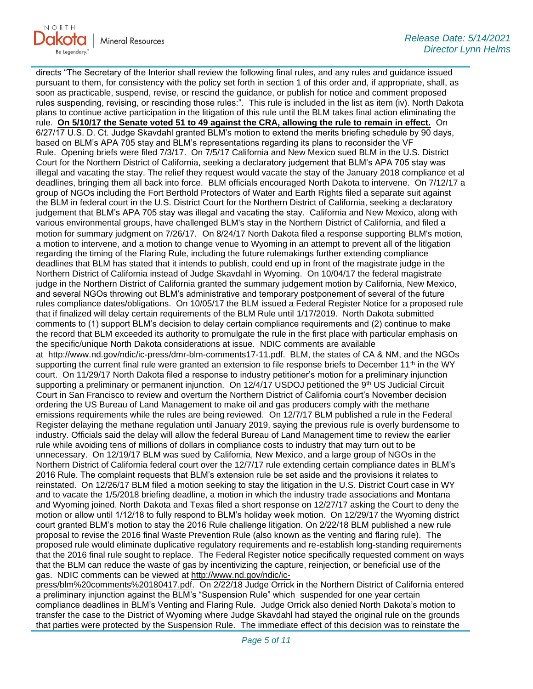

directs "The Secretary of the Interior shall review the following final rules, and any rules and guidance issued pursuant to them, for consistency with the policy set forth in section 1 of this order and, if appropriate, shall, as soon as practicable, suspend, revise, or rescind the guidance, or publish for notice and comment proposed rules suspending, revising, or rescinding those rules:". This rule is included in the list as item (iv). North Dakota plans to continue active participation in the litigation of this rule until the BLM takes final action eliminating the rule. **On 5/10/17 the Senate voted 51 to 49 against the CRA, allowing the rule to remain in effect.** On 6/27/17 U.S. D. Ct. Judge Skavdahl granted BLM's motion to extend the merits briefing schedule by 90 days, based on BLM's APA 705 stay and BLM's representations regarding its plans to reconsider the VF Rule. Opening briefs were filed 7/3/17. On 7/5/17 California and New Mexico sued BLM in the U.S. District Court for the Northern District of California, seeking a declaratory judgement that BLM's APA 705 stay was illegal and vacating the stay. The relief they request would vacate the stay of the January 2018 compliance et al deadlines, bringing them all back into force. BLM officials encouraged North Dakota to intervene. On 7/12/17 a group of NGOs including the Fort Berthold Protectors of Water and Earth Rights filed a separate suit against the BLM in federal court in the U.S. District Court for the Northern District of California, seeking a declaratory judgement that BLM's APA 705 stay was illegal and vacating the stay. California and New Mexico, along with various environmental groups, have challenged BLM's stay in the Northern District of California, and filed a motion for summary judgment on 7/26/17. On 8/24/17 North Dakota filed a response supporting BLM's motion, a motion to intervene, and a motion to change venue to Wyoming in an attempt to prevent all of the litigation regarding the timing of the Flaring Rule, including the future rulemakings further extending compliance deadlines that BLM has stated that it intends to publish, could end up in front of the magistrate judge in the Northern District of California instead of Judge Skavdahl in Wyoming. On 10/04/17 the federal magistrate judge in the Northern District of California granted the summary judgement motion by California, New Mexico, and several NGOs throwing out BLM's administrative and temporary postponement of several of the future rules compliance dates/obligations. On 10/05/17 the BLM issued a Federal Register Notice for a proposed rule that if finalized will delay certain requirements of the BLM Rule until 1/17/2019. North Dakota submitted comments to (1) support BLM's decision to delay certain compliance requirements and (2) continue to make the record that BLM exceeded its authority to promulgate the rule in the first place with particular emphasis on the specific/unique North Dakota considerations at issue. NDIC comments are available at [http://www.nd.gov/ndic/ic-press/dmr-blm-comments17-11.pdf.](http://www.nd.gov/ndic/ic-press/dmr-blm-comments17-11.pdf) BLM, the states of CA & NM, and the NGOs supporting the current final rule were granted an extension to file response briefs to December 11<sup>th</sup> in the WY court. On 11/29/17 North Dakota filed a response to industry petitioner's motion for a preliminary injunction supporting a preliminary or permanent injunction. On 12/4/17 USDOJ petitioned the 9th US Judicial Circuit Court in San Francisco to review and overturn the Northern District of California court's November decision ordering the US Bureau of Land Management to make oil and gas producers comply with the methane emissions requirements while the rules are being reviewed. On 12/7/17 BLM published a rule in the Federal Register delaying the methane regulation until January 2019, saying the previous rule is overly burdensome to industry. Officials said the delay will allow the federal Bureau of Land Management time to review the earlier rule while avoiding tens of millions of dollars in compliance costs to industry that may turn out to be unnecessary. On 12/19/17 BLM was sued by California, New Mexico, and a large group of NGOs in the Northern District of California federal court over the 12/7/17 rule extending certain compliance dates in BLM's 2016 Rule. The complaint requests that BLM's extension rule be set aside and the provisions it relates to reinstated. On 12/26/17 BLM filed a motion seeking to stay the litigation in the U.S. District Court case in WY and to vacate the 1/5/2018 briefing deadline, a motion in which the industry trade associations and Montana and Wyoming joined. North Dakota and Texas filed a short response on 12/27/17 asking the Court to deny the motion or allow until 1/12/18 to fully respond to BLM's holiday week motion. On 12/29/17 the Wyoming district court granted BLM's motion to stay the 2016 Rule challenge litigation. On 2/22/18 BLM published a new rule proposal to revise the 2016 final Waste Prevention Rule (also known as the venting and flaring rule). The proposed rule would eliminate duplicative regulatory requirements and re-establish long-standing requirements that the 2016 final rule sought to replace. The Federal Register notice specifically requested comment on ways that the BLM can reduce the waste of gas by incentivizing the capture, reinjection, or beneficial use of the gas. NDIC comments can be viewed at [http://www.nd.gov/ndic/ic-](http://www.nd.gov/ndic/ic-press/blm%20comments%20180417.pdf)

[press/blm%20comments%20180417.pdf.](http://www.nd.gov/ndic/ic-press/blm%20comments%20180417.pdf) On 2/22/18 Judge Orrick in the Northern District of California entered a preliminary injunction against the BLM's "Suspension Rule" which suspended for one year certain compliance deadlines in BLM's Venting and Flaring Rule. Judge Orrick also denied North Dakota's motion to transfer the case to the District of Wyoming where Judge Skavdahl had stayed the original rule on the grounds that parties were protected by the Suspension Rule. The immediate effect of this decision was to reinstate the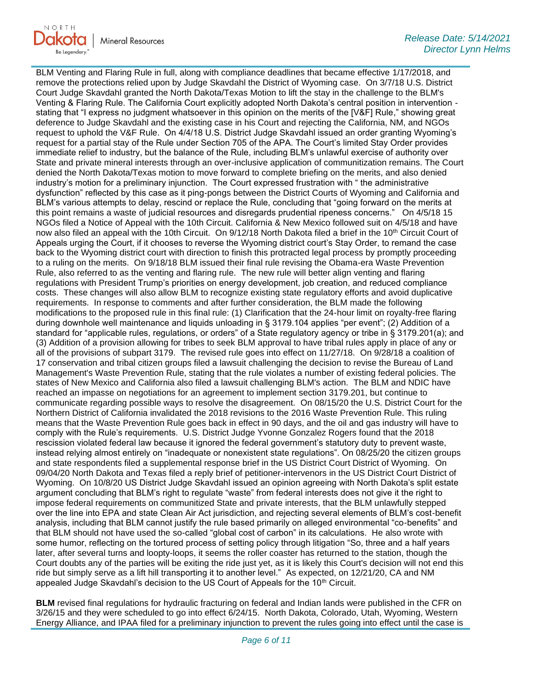

BLM Venting and Flaring Rule in full, along with compliance deadlines that became effective 1/17/2018, and remove the protections relied upon by Judge Skavdahl the District of Wyoming case. On 3/7/18 U.S. District Court Judge Skavdahl granted the North Dakota/Texas Motion to lift the stay in the challenge to the BLM's Venting & Flaring Rule. The California Court explicitly adopted North Dakota's central position in intervention stating that "I express no judgment whatsoever in this opinion on the merits of the [V&F] Rule," showing great deference to Judge Skavdahl and the existing case in his Court and rejecting the California, NM, and NGOs request to uphold the V&F Rule. On 4/4/18 U.S. District Judge Skavdahl issued an order granting Wyoming's request for a partial stay of the Rule under Section 705 of the APA. The Court's limited Stay Order provides immediate relief to industry, but the balance of the Rule, including BLM's unlawful exercise of authority over State and private mineral interests through an over-inclusive application of communitization remains. The Court denied the North Dakota/Texas motion to move forward to complete briefing on the merits, and also denied industry's motion for a preliminary injunction. The Court expressed frustration with " the administrative dysfunction" reflected by this case as it ping-pongs between the District Courts of Wyoming and California and BLM's various attempts to delay, rescind or replace the Rule, concluding that "going forward on the merits at this point remains a waste of judicial resources and disregards prudential ripeness concerns." On 4/5/18 15 NGOs filed a Notice of Appeal with the 10th Circuit. California & New Mexico followed suit on 4/5/18 and have now also filed an appeal with the 10th Circuit. On 9/12/18 North Dakota filed a brief in the 10<sup>th</sup> Circuit Court of Appeals urging the Court, if it chooses to reverse the Wyoming district court's Stay Order, to remand the case back to the Wyoming district court with direction to finish this protracted legal process by promptly proceeding to a ruling on the merits. On 9/18/18 BLM issued their final rule revising the Obama-era Waste Prevention Rule, also referred to as the venting and flaring rule. The new rule will better align venting and flaring regulations with President Trump's priorities on energy development, job creation, and reduced compliance costs. These changes will also allow BLM to recognize existing state regulatory efforts and avoid duplicative requirements. In response to comments and after further consideration, the BLM made the following modifications to the proposed rule in this final rule: (1) Clarification that the 24-hour limit on royalty-free flaring during downhole well maintenance and liquids unloading in § 3179.104 applies "per event"; (2) Addition of a standard for "applicable rules, regulations, or orders" of a State regulatory agency or tribe in § 3179.201(a); and (3) Addition of a provision allowing for tribes to seek BLM approval to have tribal rules apply in place of any or all of the provisions of subpart 3179. The revised rule goes into effect on 11/27/18. On 9/28/18 a coalition of 17 conservation and tribal citizen groups filed a lawsuit challenging the decision to revise the Bureau of Land Management's Waste Prevention Rule, stating that the rule violates a number of existing federal policies. The states of New Mexico and California also filed a lawsuit challenging BLM's action. The BLM and NDIC have reached an impasse on negotiations for an agreement to implement section 3179.201, but continue to communicate regarding possible ways to resolve the disagreement. On 08/15/20 the U.S. District Court for the Northern District of California invalidated the 2018 revisions to the 2016 Waste Prevention Rule. This ruling means that the Waste Prevention Rule goes back in effect in 90 days, and the oil and gas industry will have to comply with the Rule's requirements. U.S. District Judge Yvonne Gonzalez Rogers found that the 2018 rescission violated federal law because it ignored the federal government's statutory duty to prevent waste, instead relying almost entirely on "inadequate or nonexistent state regulations". On 08/25/20 the citizen groups and state respondents filed a supplemental response brief in the US District Court District of Wyoming. On 09/04/20 North Dakota and Texas filed a reply brief of petitioner-intervenors in the US District Court District of Wyoming. On 10/8/20 US District Judge Skavdahl issued an opinion agreeing with North Dakota's split estate argument concluding that BLM's right to regulate "waste" from federal interests does not give it the right to impose federal requirements on communitized State and private interests, that the BLM unlawfully stepped over the line into EPA and state Clean Air Act jurisdiction, and rejecting several elements of BLM's cost-benefit analysis, including that BLM cannot justify the rule based primarily on alleged environmental "co-benefits" and that BLM should not have used the so-called "global cost of carbon" in its calculations. He also wrote with some humor, reflecting on the tortured process of setting policy through litigation "So, three and a half years later, after several turns and loopty-loops, it seems the roller coaster has returned to the station, though the Court doubts any of the parties will be exiting the ride just yet, as it is likely this Court's decision will not end this ride but simply serve as a lift hill transporting it to another level." As expected, on 12/21/20, CA and NM appealed Judge Skavdahl's decision to the US Court of Appeals for the  $10<sup>th</sup>$  Circuit.

**BLM** revised final regulations for hydraulic fracturing on federal and Indian lands were published in the CFR on 3/26/15 and they were scheduled to go into effect 6/24/15. North Dakota, Colorado, Utah, Wyoming, Western Energy Alliance, and IPAA filed for a preliminary injunction to prevent the rules going into effect until the case is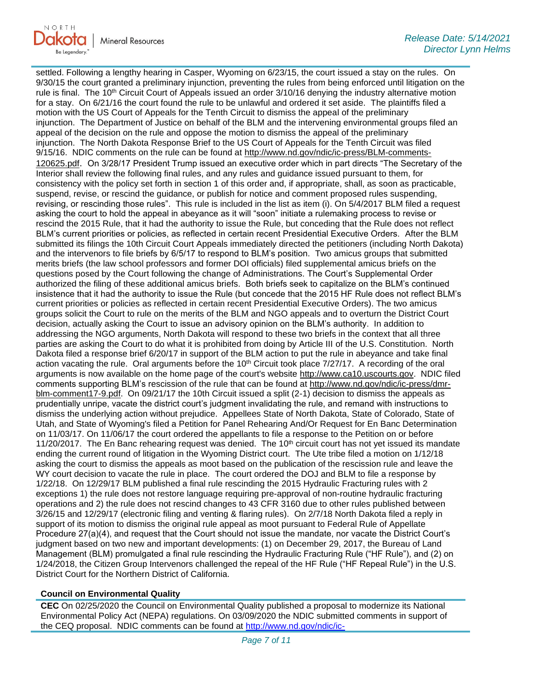

settled. Following a lengthy hearing in Casper, Wyoming on 6/23/15, the court issued a stay on the rules. On 9/30/15 the court granted a preliminary injunction, preventing the rules from being enforced until litigation on the rule is final. The 10<sup>th</sup> Circuit Court of Appeals issued an order 3/10/16 denying the industry alternative motion for a stay. On 6/21/16 the court found the rule to be unlawful and ordered it set aside. The plaintiffs filed a motion with the US Court of Appeals for the Tenth Circuit to dismiss the appeal of the preliminary injunction. The Department of Justice on behalf of the BLM and the intervening environmental groups filed an appeal of the decision on the rule and oppose the motion to dismiss the appeal of the preliminary injunction. The North Dakota Response Brief to the US Court of Appeals for the Tenth Circuit was filed 9/15/16. NDIC comments on the rule can be found at [http://www.nd.gov/ndic/ic-press/BLM-comments-](http://www.nd.gov/ndic/ic-press/BLM-comments-120625.pdf)[120625.pdf](http://www.nd.gov/ndic/ic-press/BLM-comments-120625.pdf). On 3/28/17 President Trump issued an executive order which in part directs "The Secretary of the Interior shall review the following final rules, and any rules and guidance issued pursuant to them, for consistency with the policy set forth in section 1 of this order and, if appropriate, shall, as soon as practicable, suspend, revise, or rescind the guidance, or publish for notice and comment proposed rules suspending, revising, or rescinding those rules". This rule is included in the list as item (i). On 5/4/2017 BLM filed a request asking the court to hold the appeal in abeyance as it will "soon" initiate a rulemaking process to revise or rescind the 2015 Rule, that it had the authority to issue the Rule, but conceding that the Rule does not reflect BLM's current priorities or policies, as reflected in certain recent Presidential Executive Orders. After the BLM submitted its filings the 10th Circuit Court Appeals immediately directed the petitioners (including North Dakota) and the intervenors to file briefs by 6/5/17 to respond to BLM's position. Two amicus groups that submitted merits briefs (the law school professors and former DOI officials) filed supplemental amicus briefs on the questions posed by the Court following the change of Administrations. The Court's Supplemental Order authorized the filing of these additional amicus briefs. Both briefs seek to capitalize on the BLM's continued insistence that it had the authority to issue the Rule (but concede that the 2015 HF Rule does not reflect BLM's current priorities or policies as reflected in certain recent Presidential Executive Orders). The two amicus groups solicit the Court to rule on the merits of the BLM and NGO appeals and to overturn the District Court decision, actually asking the Court to issue an advisory opinion on the BLM's authority. In addition to addressing the NGO arguments, North Dakota will respond to these two briefs in the context that all three parties are asking the Court to do what it is prohibited from doing by Article III of the U.S. Constitution. North Dakota filed a response brief 6/20/17 in support of the BLM action to put the rule in abeyance and take final action vacating the rule. Oral arguments before the 10<sup>th</sup> Circuit took place 7/27/17. A recording of the oral arguments is now available on the home page of the court's website [http://www.ca10.uscourts.gov.](https://gcc02.safelinks.protection.outlook.com/?url=https%3A%2F%2Furldefense.proofpoint.com%2Fv2%2Furl%3Fu%3Dhttp-3A__www.ca10.uscourts.gov%26d%3DDwMGaQ%26c%3D2s2mvbfY0UoSKkl6_Ol9wg%26r%3D-wqsZnBxny594KY8HeElow%26m%3DUl_VtJUX6iW5pvHjCcBxUWtskC0F4Dhry3sPtcEHvCw%26s%3DlaRHiLDv5w8otcQWQjpn82WMieoB2AZ-Q4M1LFQPL5s%26e%3D&data=04%7C01%7Ckahaarsager%40nd.gov%7Cc86d7059abc9489b14ff08d916f480a3%7C2dea0464da514a88bae2b3db94bc0c54%7C0%7C0%7C637566061644315313%7CUnknown%7CTWFpbGZsb3d8eyJWIjoiMC4wLjAwMDAiLCJQIjoiV2luMzIiLCJBTiI6Ik1haWwiLCJXVCI6Mn0%3D%7C1000&sdata=ECaKoYeHWK3DmDuydj9Bb0Wx8xrZGDnfo%2FvHrRalFKQ%3D&reserved=0) NDIC filed comments supporting BLM's rescission of the rule that can be found at [http://www.nd.gov/ndic/ic-press/dmr](http://www.nd.gov/ndic/ic-press/dmr-blm-comment17-9.pdf)[blm-comment17-9.pdf.](http://www.nd.gov/ndic/ic-press/dmr-blm-comment17-9.pdf) On 09/21/17 the 10th Circuit issued a split (2-1) decision to dismiss the appeals as prudentially unripe, vacate the district court's judgment invalidating the rule, and remand with instructions to dismiss the underlying action without prejudice. Appellees State of North Dakota, State of Colorado, State of Utah, and State of Wyoming's filed a Petition for Panel Rehearing And/Or Request for En Banc Determination on 11/03/17. On 11/06/17 the court ordered the appellants to file a response to the Petition on or before 11/20/2017. The En Banc rehearing request was denied. The 10<sup>th</sup> circuit court has not yet issued its mandate ending the current round of litigation in the Wyoming District court. The Ute tribe filed a motion on 1/12/18 asking the court to dismiss the appeals as moot based on the publication of the rescission rule and leave the WY court decision to vacate the rule in place. The court ordered the DOJ and BLM to file a response by 1/22/18. On 12/29/17 BLM published a final rule rescinding the 2015 Hydraulic Fracturing rules with 2 exceptions 1) the rule does not restore language requiring pre-approval of non-routine hydraulic fracturing operations and 2) the rule does not rescind changes to 43 CFR 3160 due to other rules published between 3/26/15 and 12/29/17 (electronic filing and venting & flaring rules). On 2/7/18 North Dakota filed a reply in support of its motion to dismiss the original rule appeal as moot pursuant to Federal Rule of Appellate Procedure 27(a)(4), and request that the Court should not issue the mandate, nor vacate the District Court's judgment based on two new and important developments: (1) on December 29, 2017, the Bureau of Land Management (BLM) promulgated a final rule rescinding the Hydraulic Fracturing Rule ("HF Rule"), and (2) on 1/24/2018, the Citizen Group Intervenors challenged the repeal of the HF Rule ("HF Repeal Rule") in the U.S. District Court for the Northern District of California.

#### **Council on Environmental Quality**

**CEC** On 02/25/2020 the Council on Environmental Quality published a proposal to modernize its National Environmental Policy Act (NEPA) regulations. On 03/09/2020 the NDIC submitted comments in support of the CEQ proposal. NDIC comments can be found at [http://www.nd.gov/ndic/ic-](http://www.nd.gov/ndic/ic-press/Council%20of%20Environmental%20Quality%20200309.pdf)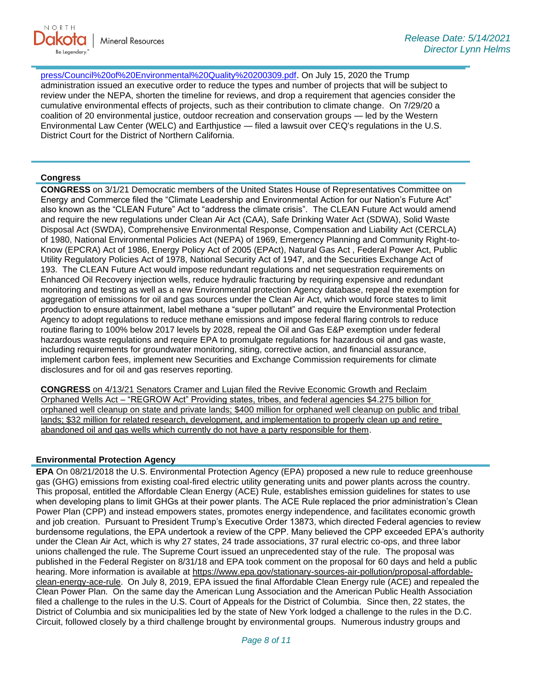[press/Council%20of%20Environmental%20Quality%20200309.pdf](http://www.nd.gov/ndic/ic-press/Council%20of%20Environmental%20Quality%20200309.pdf). On July 15, 2020 the Trump administration issued an executive order to reduce the types and number of projects that will be subject to review under the NEPA, shorten the timeline for reviews, and drop a requirement that agencies consider the cumulative environmental effects of projects, such as their contribution to climate change. On 7/29/20 a coalition of 20 environmental justice, outdoor recreation and conservation groups — led by the Western Environmental Law Center (WELC) and Earthjustice — filed a lawsuit over CEQ's regulations in the U.S. District Court for the District of Northern California.

### **Congress**

**CONGRESS** on 3/1/21 Democratic members of the United States House of Representatives Committee on Energy and Commerce filed the "Climate Leadership and Environmental Action for our Nation's Future Act" also known as the "CLEAN Future" Act to "address the climate crisis". The CLEAN Future Act would amend and require the new regulations under Clean Air Act (CAA), Safe Drinking Water Act (SDWA), Solid Waste Disposal Act (SWDA), Comprehensive Environmental Response, Compensation and Liability Act (CERCLA) of 1980, National Environmental Policies Act (NEPA) of 1969, Emergency Planning and Community Right-to-Know (EPCRA) Act of 1986, Energy Policy Act of 2005 (EPAct), Natural Gas Act , Federal Power Act, Public Utility Regulatory Policies Act of 1978, National Security Act of 1947, and the Securities Exchange Act of 193. The CLEAN Future Act would impose redundant regulations and net sequestration requirements on Enhanced Oil Recovery injection wells, reduce hydraulic fracturing by requiring expensive and redundant monitoring and testing as well as a new Environmental protection Agency database, repeal the exemption for aggregation of emissions for oil and gas sources under the Clean Air Act, which would force states to limit production to ensure attainment, label methane a "super pollutant" and require the Environmental Protection Agency to adopt regulations to reduce methane emissions and impose federal flaring controls to reduce routine flaring to 100% below 2017 levels by 2028, repeal the Oil and Gas E&P exemption under federal hazardous waste regulations and require EPA to promulgate regulations for hazardous oil and gas waste, including requirements for groundwater monitoring, siting, corrective action, and financial assurance, implement carbon fees, implement new Securities and Exchange Commission requirements for climate disclosures and for oil and gas reserves reporting.

**CONGRESS** on 4/13/21 Senators Cramer and Lujan filed the Revive Economic Growth and Reclaim Orphaned Wells Act – "REGROW Act" Providing states, tribes, and federal agencies \$4.275 billion for orphaned well cleanup on state and private lands; \$400 million for orphaned well cleanup on public and tribal lands; \$32 million for related research, development, and implementation to properly clean up and retire abandoned oil and gas wells which currently do not have a party responsible for them.

#### **Environmental Protection Agency**

**EPA** On 08/21/2018 the U.S. Environmental Protection Agency (EPA) proposed a new rule to reduce greenhouse gas (GHG) emissions from existing coal-fired electric utility generating units and power plants across the country. This proposal, entitled the Affordable Clean Energy (ACE) Rule, establishes emission guidelines for states to use when developing plans to limit GHGs at their power plants. The ACE Rule replaced the prior administration's Clean Power Plan (CPP) and instead empowers states, promotes energy independence, and facilitates economic growth and job creation. Pursuant to President Trump's Executive Order 13873, which directed Federal agencies to review burdensome regulations, the EPA undertook a review of the CPP. Many believed the CPP exceeded EPA's authority under the Clean Air Act, which is why 27 states, 24 trade associations, 37 rural electric co-ops, and three labor unions challenged the rule. The Supreme Court issued an unprecedented stay of the rule. The proposal was published in the Federal Register on 8/31/18 and EPA took comment on the proposal for 60 days and held a public hearing. More information is available at [https://www.epa.gov/stationary-sources-air-pollution/proposal-affordable](https://gcc02.safelinks.protection.outlook.com/?url=https%3A%2F%2Fwww.epa.gov%2Fstationary-sources-air-pollution%2Fproposal-affordable-clean-energy-ace-rule&data=04%7C01%7Ckahaarsager%40nd.gov%7Cc86d7059abc9489b14ff08d916f480a3%7C2dea0464da514a88bae2b3db94bc0c54%7C0%7C0%7C637566061644325271%7CUnknown%7CTWFpbGZsb3d8eyJWIjoiMC4wLjAwMDAiLCJQIjoiV2luMzIiLCJBTiI6Ik1haWwiLCJXVCI6Mn0%3D%7C1000&sdata=kkUxn%2Bq2y1%2FtGXEZ6io4pV3MhorTCDNSW9A46CmIvp8%3D&reserved=0)[clean-energy-ace-rule.](https://gcc02.safelinks.protection.outlook.com/?url=https%3A%2F%2Fwww.epa.gov%2Fstationary-sources-air-pollution%2Fproposal-affordable-clean-energy-ace-rule&data=04%7C01%7Ckahaarsager%40nd.gov%7Cc86d7059abc9489b14ff08d916f480a3%7C2dea0464da514a88bae2b3db94bc0c54%7C0%7C0%7C637566061644325271%7CUnknown%7CTWFpbGZsb3d8eyJWIjoiMC4wLjAwMDAiLCJQIjoiV2luMzIiLCJBTiI6Ik1haWwiLCJXVCI6Mn0%3D%7C1000&sdata=kkUxn%2Bq2y1%2FtGXEZ6io4pV3MhorTCDNSW9A46CmIvp8%3D&reserved=0) On July 8, 2019, EPA issued the final Affordable Clean Energy rule (ACE) and repealed the Clean Power Plan. On the same day the American Lung Association and the American Public Health Association filed a challenge to the rules in the U.S. Court of Appeals for the District of Columbia. Since then, 22 states, the District of Columbia and six municipalities led by the state of New York lodged a challenge to the rules in the D.C. Circuit, followed closely by a third challenge brought by environmental groups. Numerous industry groups and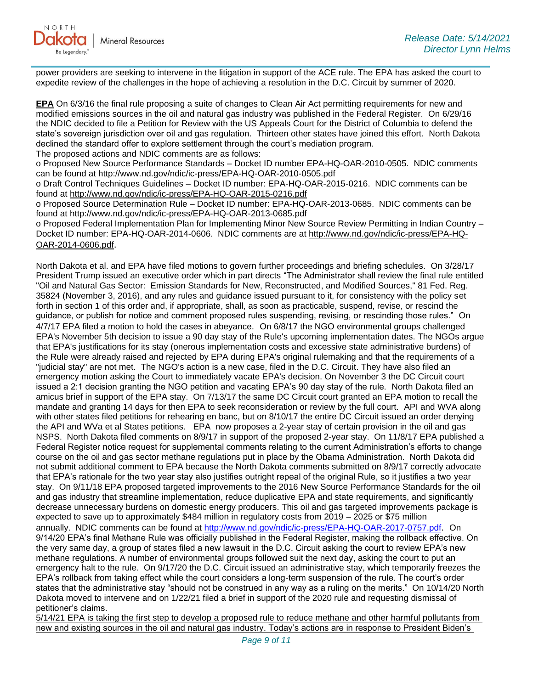power providers are seeking to intervene in the litigation in support of the ACE rule. The EPA has asked the court to expedite review of the challenges in the hope of achieving a resolution in the D.C. Circuit by summer of 2020.

**EPA** On 6/3/16 the final rule proposing a suite of changes to Clean Air Act permitting requirements for new and modified emissions sources in the oil and natural gas industry was published in the Federal Register. On 6/29/16 the NDIC decided to file a Petition for Review with the US Appeals Court for the District of Columbia to defend the state's sovereign jurisdiction over oil and gas regulation. Thirteen other states have joined this effort. North Dakota declined the standard offer to explore settlement through the court's mediation program. The proposed actions and NDIC comments are as follows:

o Proposed New Source Performance Standards – Docket ID number EPA-HQ-OAR-2010-0505. NDIC comments can be found at<http://www.nd.gov/ndic/ic-press/EPA-HQ-OAR-2010-0505.pdf>

o Draft Control Techniques Guidelines – Docket ID number: EPA-HQ-OAR-2015-0216. NDIC comments can be found at<http://www.nd.gov/ndic/ic-press/EPA-HQ-OAR-2015-0216.pdf>

o Proposed Source Determination Rule – Docket ID number: EPA-HQ-OAR-2013-0685. NDIC comments can be found at<http://www.nd.gov/ndic/ic-press/EPA-HQ-OAR-2013-0685.pdf>

o Proposed Federal Implementation Plan for Implementing Minor New Source Review Permitting in Indian Country – Docket ID number: EPA-HQ-OAR-2014-0606. NDIC comments are at [http://www.nd.gov/ndic/ic-press/EPA-HQ-](http://www.nd.gov/ndic/ic-press/EPA-HQ-OAR-2014-0606.pdf)[OAR-2014-0606.pdf](http://www.nd.gov/ndic/ic-press/EPA-HQ-OAR-2014-0606.pdf).

North Dakota et al. and EPA have filed motions to govern further proceedings and briefing schedules. On 3/28/17 President Trump issued an executive order which in part directs "The Administrator shall review the final rule entitled "Oil and Natural Gas Sector: Emission Standards for New, Reconstructed, and Modified Sources," 81 Fed. Reg. 35824 (November 3, 2016), and any rules and guidance issued pursuant to it, for consistency with the policy set forth in section 1 of this order and, if appropriate, shall, as soon as practicable, suspend, revise, or rescind the guidance, or publish for notice and comment proposed rules suspending, revising, or rescinding those rules." On 4/7/17 EPA filed a motion to hold the cases in abeyance. On 6/8/17 the NGO environmental groups challenged EPA's November 5th decision to issue a 90 day stay of the Rule's upcoming implementation dates. The NGOs argue that EPA's justifications for its stay (onerous implementation costs and excessive state administrative burdens) of the Rule were already raised and rejected by EPA during EPA's original rulemaking and that the requirements of a "judicial stay" are not met. The NGO's action is a new case, filed in the D.C. Circuit. They have also filed an emergency motion asking the Court to immediately vacate EPA's decision. On November 3 the DC Circuit court issued a 2:1 decision granting the NGO petition and vacating EPA's 90 day stay of the rule. North Dakota filed an amicus brief in support of the EPA stay. On 7/13/17 the same DC Circuit court granted an EPA motion to recall the mandate and granting 14 days for then EPA to seek reconsideration or review by the full court. API and WVA along with other states filed petitions for rehearing en banc, but on 8/10/17 the entire DC Circuit issued an order denying the API and WVa et al States petitions. EPA now proposes a 2-year stay of certain provision in the oil and gas NSPS. North Dakota filed comments on 8/9/17 in support of the proposed 2-year stay. On 11/8/17 EPA published a Federal Register notice request for supplemental comments relating to the current Administration's efforts to change course on the oil and gas sector methane regulations put in place by the Obama Administration. North Dakota did not submit additional comment to EPA because the North Dakota comments submitted on 8/9/17 correctly advocate that EPA's rationale for the two year stay also justifies outright repeal of the original Rule, so it justifies a two year stay. On 9/11/18 EPA proposed targeted improvements to the 2016 New Source Performance Standards for the oil and gas industry that streamline implementation, reduce duplicative EPA and state requirements, and significantly decrease unnecessary burdens on domestic energy producers. This oil and gas targeted improvements package is expected to save up to approximately \$484 million in regulatory costs from 2019 – 2025 or \$75 million annually. NDIC comments can be found at<http://www.nd.gov/ndic/ic-press/EPA-HQ-OAR-2017-0757.pdf>. On 9/14/20 EPA's final Methane Rule was officially published in the Federal Register, making the rollback effective. On the very same day, a group of states filed a new lawsuit in the D.C. Circuit asking the court to review EPA's new methane regulations. A number of environmental groups followed suit the next day, asking the court to put an emergency halt to the rule. On 9/17/20 the D.C. Circuit issued an administrative stay, which temporarily freezes the EPA's rollback from taking effect while the court considers a long-term suspension of the rule. The court's order states that the administrative stay "should not be construed in any way as a ruling on the merits." On 10/14/20 North Dakota moved to intervene and on 1/22/21 filed a brief in support of the 2020 rule and requesting dismissal of petitioner's claims.

5/14/21 EPA is taking the first step to develop a proposed rule to reduce methane and other harmful pollutants from new and existing sources in the oil and natural gas industry. Today's actions are in response to President Biden's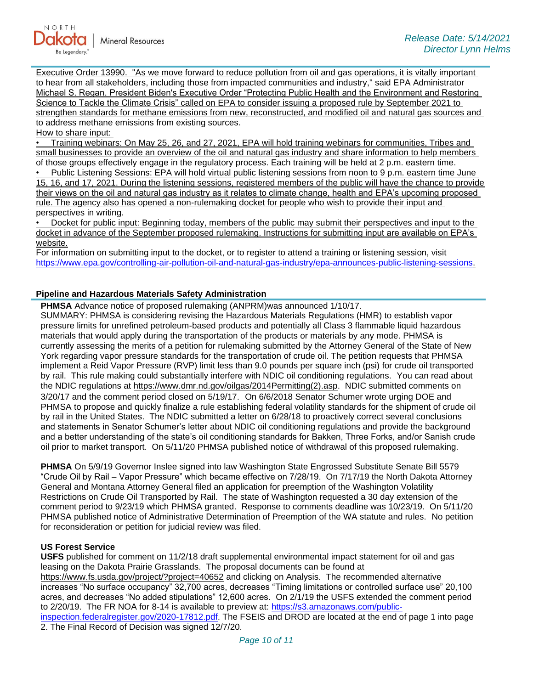

Executive Order 13990. "As we move forward to reduce pollution from oil and gas operations, it is vitally important to hear from all stakeholders, including those from impacted communities and industry," said EPA Administrator Michael S. Regan. President Biden's Executive Order "Protecting Public Health and the Environment and Restoring Science to Tackle the Climate Crisis" called on EPA to consider issuing a proposed rule by September 2021 to strengthen standards for methane emissions from new, reconstructed, and modified oil and natural gas sources and to address methane emissions from existing sources.

How to share input:

• Training webinars: On May 25, 26, and 27, 2021, EPA will hold training webinars for communities, Tribes and small businesses to provide an overview of the oil and natural gas industry and share information to help members of those groups effectively engage in the regulatory process. Each training will be held at 2 p.m. eastern time.

• Public Listening Sessions: EPA will hold virtual public listening sessions from noon to 9 p.m. eastern time June 15, 16, and 17, 2021. During the listening sessions, registered members of the public will have the chance to provide their views on the oil and natural gas industry as it relates to climate change, health and EPA's upcoming proposed rule. The agency also has opened a non-rulemaking docket for people who wish to provide their input and perspectives in writing.

• Docket for public input: Beginning today, members of the public may submit their perspectives and input to the docket in advance of the September proposed rulemaking. Instructions for submitting input are available on EPA's website.

For information on submitting input to the docket, or to register to attend a training or listening session, visit [https://www.epa.gov/controlling-air-pollution-oil-and-natural-gas-industry/epa-announces-public-listening-sessions.](https://www.epa.gov/controlling-air-pollution-oil-and-natural-gas-industry/epa-announces-public-listening-sessions)

#### **Pipeline and Hazardous Materials Safety Administration**

**PHMSA** Advance notice of proposed rulemaking (ANPRM)was announced 1/10/17.

SUMMARY: PHMSA is considering revising the Hazardous Materials Regulations (HMR) to establish vapor pressure limits for unrefined petroleum-based products and potentially all Class 3 flammable liquid hazardous materials that would apply during the transportation of the products or materials by any mode. PHMSA is currently assessing the merits of a petition for rulemaking submitted by the Attorney General of the State of New York regarding vapor pressure standards for the transportation of crude oil. The petition requests that PHMSA implement a Reid Vapor Pressure (RVP) limit less than 9.0 pounds per square inch (psi) for crude oil transported by rail. This rule making could substantially interfere with NDIC oil conditioning regulations. You can read about the NDIC regulations at [https://www.dmr.nd.gov/oilgas/2014Permitting\(2\).asp.](https://www.dmr.nd.gov/oilgas/2014Permitting(2).asp) NDIC submitted comments on 3/20/17 and the comment period closed on 5/19/17. On 6/6/2018 Senator Schumer wrote urging DOE and PHMSA to propose and quickly finalize a rule establishing federal volatility standards for the shipment of crude oil by rail in the United States. The NDIC submitted a letter on 6/28/18 to proactively correct several conclusions and statements in Senator Schumer's letter about NDIC oil conditioning regulations and provide the background and a better understanding of the state's oil conditioning standards for Bakken, Three Forks, and/or Sanish crude oil prior to market transport. On 5/11/20 PHMSA published notice of withdrawal of this proposed rulemaking.

**PHMSA** On 5/9/19 Governor Inslee signed into law Washington State Engrossed Substitute Senate Bill 5579 "Crude Oil by Rail – Vapor Pressure" which became effective on 7/28/19. On 7/17/19 the North Dakota Attorney General and Montana Attorney General filed an application for preemption of the Washington Volatility Restrictions on Crude Oil Transported by Rail. The state of Washington requested a 30 day extension of the comment period to 9/23/19 which PHMSA granted. Response to comments deadline was 10/23/19. On 5/11/20 PHMSA published notice of Administrative Determination of Preemption of the WA statute and rules. No petition for reconsideration or petition for judicial review was filed.

#### **US Forest Service**

**USFS** published for comment on 11/2/18 draft supplemental environmental impact statement for oil and gas leasing on the Dakota Prairie Grasslands. The proposal documents can be found at [https://www.fs.usda.gov/project/?project=40652](https://gcc02.safelinks.protection.outlook.com/?url=https%3A%2F%2Fwww.fs.usda.gov%2Fproject%2F%3Fproject%3D40652&data=04%7C01%7Ckahaarsager%40nd.gov%7C64e9a945339a4db3b04008d9001f8e8f%7C2dea0464da514a88bae2b3db94bc0c54%7C0%7C0%7C637540957796652086%7CUnknown%7CTWFpbGZsb3d8eyJWIjoiMC4wLjAwMDAiLCJQIjoiV2luMzIiLCJBTiI6Ik1haWwiLCJXVCI6Mn0%3D%7C1000&sdata=nMfROiNDincwWYol9QV1JMGYBb399ML6Ej3HYDaOv1w%3D&reserved=0) and clicking on Analysis. The recommended alternative increases "No surface occupancy" 32,700 acres, decreases "Timing limitations or controlled surface use" 20,100 acres, and decreases "No added stipulations" 12,600 acres. On 2/1/19 the USFS extended the comment period to 2/20/19. The FR NOA for 8-14 is available to preview at: [https://s3.amazonaws.com/public](https://gcc02.safelinks.protection.outlook.com/?url=https%3A%2F%2Fs3.amazonaws.com%2Fpublic-inspection.federalregister.gov%2F2020-17812.pdf&data=04%7C01%7Ckahaarsager%40nd.gov%7C64e9a945339a4db3b04008d9001f8e8f%7C2dea0464da514a88bae2b3db94bc0c54%7C0%7C0%7C637540957796652086%7CUnknown%7CTWFpbGZsb3d8eyJWIjoiMC4wLjAwMDAiLCJQIjoiV2luMzIiLCJBTiI6Ik1haWwiLCJXVCI6Mn0%3D%7C1000&sdata=Pega6NqATU0PHwI9d1CCJCrcvwrIspZG8VdM%2BI2BEpY%3D&reserved=0)[inspection.federalregister.gov/2020-17812.pdf.](https://gcc02.safelinks.protection.outlook.com/?url=https%3A%2F%2Fs3.amazonaws.com%2Fpublic-inspection.federalregister.gov%2F2020-17812.pdf&data=04%7C01%7Ckahaarsager%40nd.gov%7C64e9a945339a4db3b04008d9001f8e8f%7C2dea0464da514a88bae2b3db94bc0c54%7C0%7C0%7C637540957796652086%7CUnknown%7CTWFpbGZsb3d8eyJWIjoiMC4wLjAwMDAiLCJQIjoiV2luMzIiLCJBTiI6Ik1haWwiLCJXVCI6Mn0%3D%7C1000&sdata=Pega6NqATU0PHwI9d1CCJCrcvwrIspZG8VdM%2BI2BEpY%3D&reserved=0) The FSEIS and DROD are located at the end of page 1 into page

2. The Final Record of Decision was signed 12/7/20.